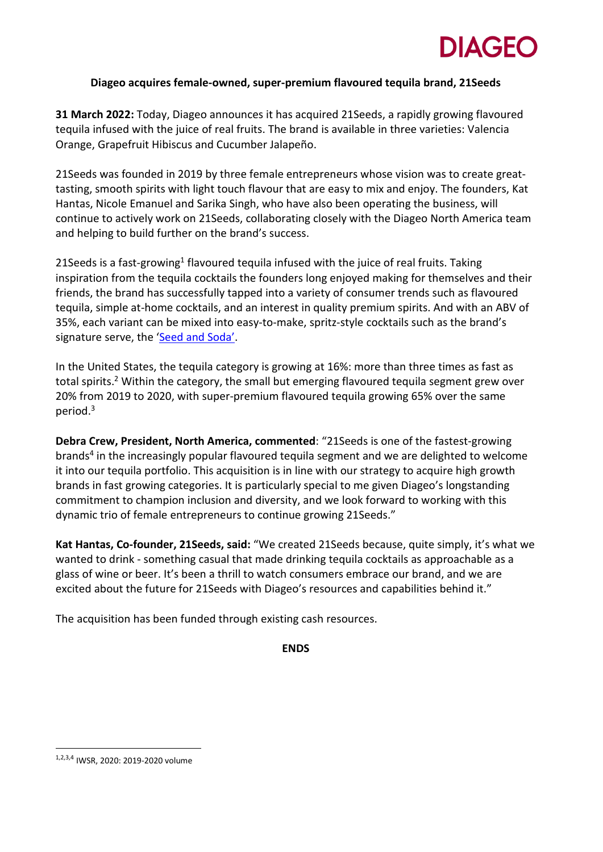# **DIAGEC**

## **Diageo acquires female-owned, super-premium flavoured tequila brand, 21Seeds**

**31 March 2022:** Today, Diageo announces it has acquired 21Seeds, a rapidly growing flavoured tequila infused with the juice of real fruits. The brand is available in three varieties: Valencia Orange, Grapefruit Hibiscus and Cucumber Jalapeño.

21Seeds was founded in 2019 by three female entrepreneurs whose vision was to create greattasting, smooth spirits with light touch flavour that are easy to mix and enjoy. The founders, Kat Hantas, Nicole Emanuel and Sarika Singh, who have also been operating the business, will continue to actively work on 21Seeds, collaborating closely with the Diageo North America team and helping to build further on the brand's success.

21 Seeds is a fast-growing<sup>1</sup> flavoured tequila infused with the juice of real fruits. Taking inspiration from the tequila cocktails the founders long enjoyed making for themselves and their friends, the brand has successfully tapped into a variety of consumer trends such as flavoured tequila, simple at-home cocktails, and an interest in quality premium spirits. And with an ABV of 35%, each variant can be mixed into easy-to-make, spritz-style cocktails such as the brand's signature serve, the ['Seed and Soda'.](https://www.21seeds.com/seed-soda-recipe)

In the United States, the tequila category is growing at 16%: more than three times as fast as total spirits.<sup>2</sup> Within the category, the small but emerging flavoured tequila segment grew over 20% from 2019 to 2020, with super-premium flavoured tequila growing 65% over the same period. 3

**Debra Crew, President, North America, commented**: "21Seeds is one of the fastest-growing brands<sup>4</sup> in the increasingly popular flavoured tequila segment and we are delighted to welcome it into our tequila portfolio. This acquisition is in line with our strategy to acquire high growth brands in fast growing categories. It is particularly special to me given Diageo's longstanding commitment to champion inclusion and diversity, and we look forward to working with this dynamic trio of female entrepreneurs to continue growing 21Seeds."

**Kat Hantas, Co-founder, 21Seeds, said:** "We created 21Seeds because, quite simply, it's what we wanted to drink - something casual that made drinking tequila cocktails as approachable as a glass of wine or beer. It's been a thrill to watch consumers embrace our brand, and we are excited about the future for 21Seeds with Diageo's resources and capabilities behind it."

The acquisition has been funded through existing cash resources.

**ENDS**

<sup>1,2,3,4</sup> IWSR, 2020: 2019-2020 volume